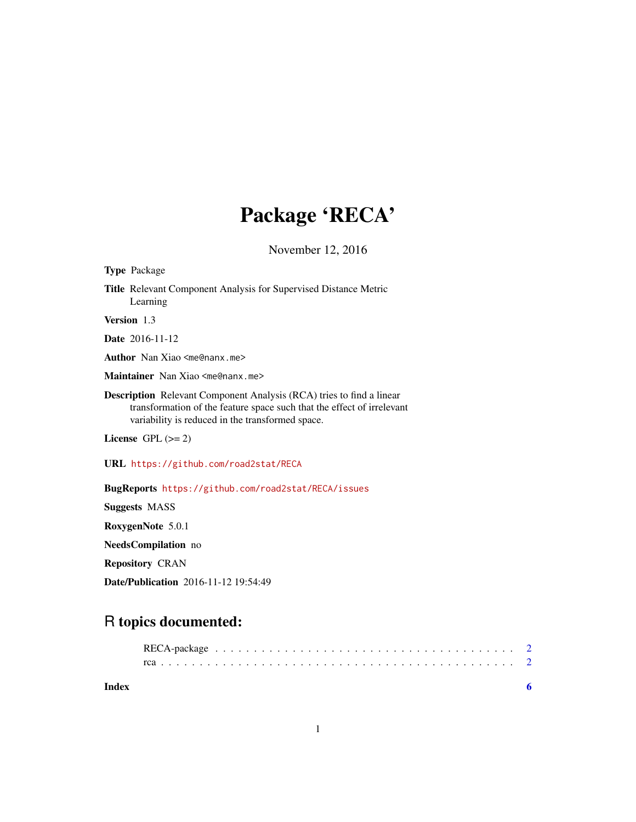## Package 'RECA'

November 12, 2016

| <b>Type Package</b>                                                                                                                                                                                       |
|-----------------------------------------------------------------------------------------------------------------------------------------------------------------------------------------------------------|
| <b>Title</b> Relevant Component Analysis for Supervised Distance Metric<br>Learning                                                                                                                       |
| Version 1.3                                                                                                                                                                                               |
| <b>Date</b> 2016-11-12                                                                                                                                                                                    |
| <b>Author</b> Nan Xiao <me@nanx.me></me@nanx.me>                                                                                                                                                          |
| Maintainer Nan Xiao <me@nanx.me></me@nanx.me>                                                                                                                                                             |
| <b>Description</b> Relevant Component Analysis (RCA) tries to find a linear<br>transformation of the feature space such that the effect of irrelevant<br>variability is reduced in the transformed space. |
| License GPL $(>= 2)$                                                                                                                                                                                      |
| URL https://github.com/road2stat/RECA                                                                                                                                                                     |
| BugReports https://github.com/road2stat/RECA/issues                                                                                                                                                       |
| <b>Suggests MASS</b>                                                                                                                                                                                      |
| RoxygenNote 5.0.1                                                                                                                                                                                         |
| <b>NeedsCompilation</b> no                                                                                                                                                                                |
| <b>Repository CRAN</b>                                                                                                                                                                                    |

Date/Publication 2016-11-12 19:54:49

### R topics documented:

| Index |  |  |  |  |  |  |  |  |  |  |  |  |  |  |  |  |  |  |  |
|-------|--|--|--|--|--|--|--|--|--|--|--|--|--|--|--|--|--|--|--|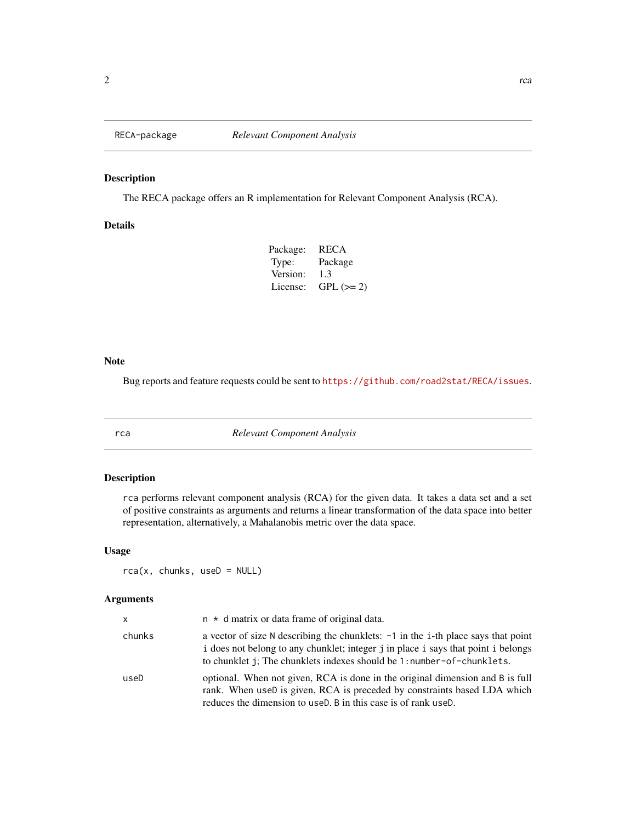<span id="page-1-0"></span>

#### Description

The RECA package offers an R implementation for Relevant Component Analysis (RCA).

#### Details

| Package: | <b>RECA</b> |
|----------|-------------|
| Type:    | Package     |
| Version: | 1.3         |
| License: | $GPL (=2)$  |

#### Note

Bug reports and feature requests could be sent to <https://github.com/road2stat/RECA/issues>.

rca *Relevant Component Analysis*

#### Description

rca performs relevant component analysis (RCA) for the given data. It takes a data set and a set of positive constraints as arguments and returns a linear transformation of the data space into better representation, alternatively, a Mahalanobis metric over the data space.

#### Usage

rca(x, chunks, useD = NULL)

#### Arguments

| x      | $n \times d$ matrix or data frame of original data.                                                                                                                                                                                              |
|--------|--------------------------------------------------------------------------------------------------------------------------------------------------------------------------------------------------------------------------------------------------|
| chunks | a vector of size N describing the chunklets: -1 in the i-th place says that point<br>i does not belong to any chunklet; integer j in place i says that point i belongs<br>to chunklet j; The chunklets indexes should be 1: number-of-chunklets. |
| useD   | optional. When not given, RCA is done in the original dimension and B is full<br>rank. When useD is given, RCA is preceded by constraints based LDA which<br>reduces the dimension to use D. B in this case is of rank use D.                    |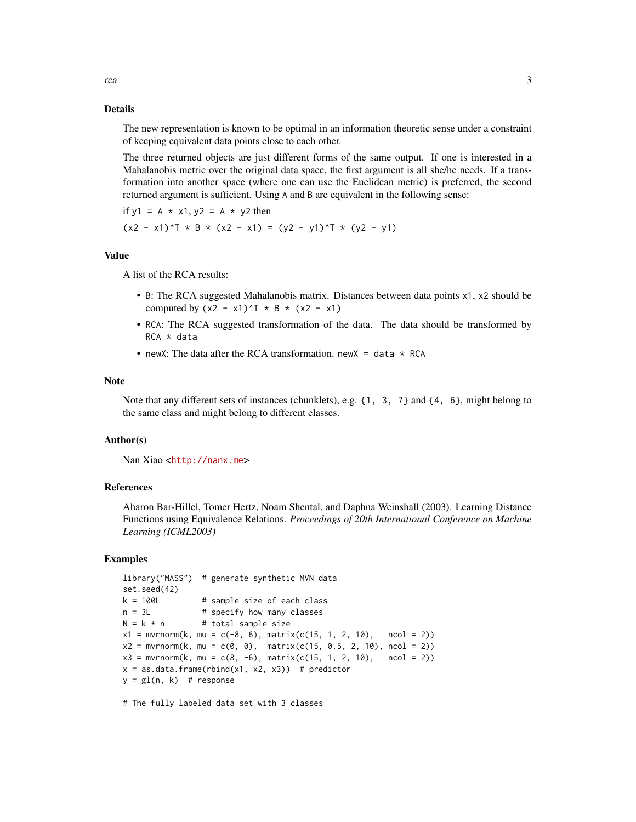The new representation is known to be optimal in an information theoretic sense under a constraint of keeping equivalent data points close to each other.

The three returned objects are just different forms of the same output. If one is interested in a Mahalanobis metric over the original data space, the first argument is all she/he needs. If a transformation into another space (where one can use the Euclidean metric) is preferred, the second returned argument is sufficient. Using A and B are equivalent in the following sense:

if  $y1 = A \times x1$ ,  $y2 = A \times y2$  then

$$
(x2 - x1)^T * B * (x2 - x1) = (y2 - y1)^T * (y2 - y1)
$$

#### Value

A list of the RCA results:

- B: The RCA suggested Mahalanobis matrix. Distances between data points x1, x2 should be computed by  $(x2 - x1)^T$  \* B \*  $(x2 - x1)$
- RCA: The RCA suggested transformation of the data. The data should be transformed by RCA \* data
- newX: The data after the RCA transformation. newX = data  $*$  RCA

#### Note

Note that any different sets of instances (chunklets), e.g.  $\{1, 3, 7\}$  and  $\{4, 6\}$ , might belong to the same class and might belong to different classes.

#### Author(s)

Nan Xiao <<http://nanx.me>>

#### References

Aharon Bar-Hillel, Tomer Hertz, Noam Shental, and Daphna Weinshall (2003). Learning Distance Functions using Equivalence Relations. *Proceedings of 20th International Conference on Machine Learning (ICML2003)*

#### Examples

```
library("MASS") # generate synthetic MVN data
set.seed(42)
k = 100L # sample size of each class
n = 3L # specify how many classes
N = k * n # total sample size
x1 = mvrnorm(k, mu = c(-8, 6), matrix(c(15, 1, 2, 10), rock = 2))x2 = mvrnorm(k, mu = c(0, 0), matrix(c(15, 0.5, 2, 10), ncol = 2))x3 = mvrnorm(k, mu = c(8, -6), matrix(c(15, 1, 2, 10), rock = 2))x = as.data frame(rbind(x1, x2, x3)) # predictor
y = gl(n, k) # response
```
# The fully labeled data set with 3 classes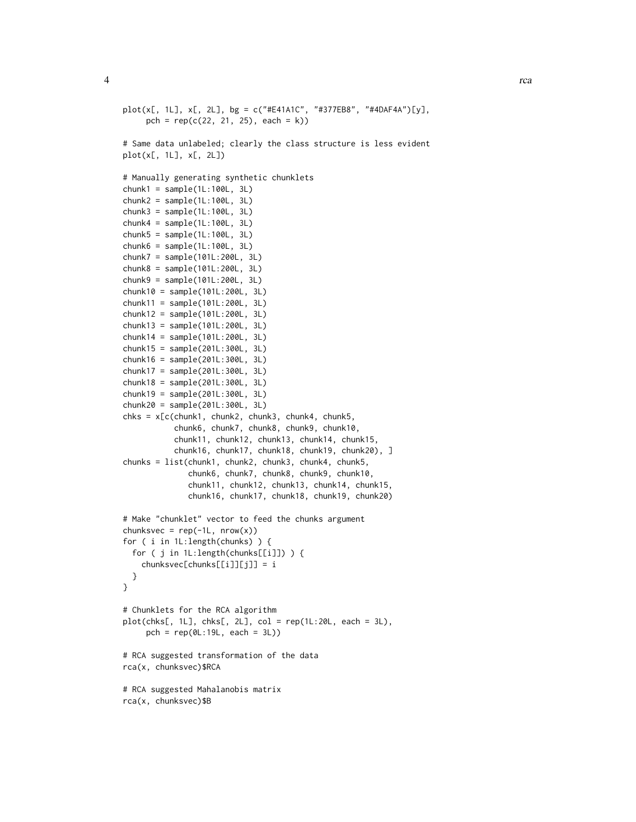```
plot(x[, 1L], x[, 2L], bg = c("#E41A1C", "#377EB8", "#4DAF4A")[y],
     pch = rep(c(22, 21, 25), each = k))# Same data unlabeled; clearly the class structure is less evident
plot(x[, 1L], x[, 2L])
# Manually generating synthetic chunklets
chunk1 = sample(1L:100L, 3L)chunk2 = sample(1L:100L, 3L)chunk3 = sample(1L:100L, 3L)
chunk4 = sample(1L:100L, 3L)chunk5 = sample(1L:100L, 3L)
chunk6 = sample(1L:100L, 3L)chunk7 = sample(101L:200L, 3L)
chunk8 = sample(101L:200L, 3L)
chunk9 = sample(101L:200L, 3L)
chunk10 = sample(101L:200L, 3L)
chunk11 = sample(101L:200L, 3L)
chunk12 = sample(101L:200L, 3L)
chunk13 = sample(101L:200L, 3L)
chunk14 = sample(101L:200L, 3L)
chunk15 = sample(201L:300L, 3L)
chunk16 = sample(201L:300L, 3L)
chunk17 = sample(201L:300L, 3L)
chunk18 = sample(201L:300L, 3L)
chunk19 = sample(201L:300L, 3L)
chunk20 = sample(201L:300L, 3L)
chks = x[c(chunk1, chunk2, chunk3, chunk4, chunk5,
           chunk6, chunk7, chunk8, chunk9, chunk10,
           chunk11, chunk12, chunk13, chunk14, chunk15,
           chunk16, chunk17, chunk18, chunk19, chunk20), ]
chunks = list(chunk1, chunk2, chunk3, chunk4, chunk5,
              chunk6, chunk7, chunk8, chunk9, chunk10,
              chunk11, chunk12, chunk13, chunk14, chunk15,
              chunk16, chunk17, chunk18, chunk19, chunk20)
# Make "chunklet" vector to feed the chunks argument
chunksvec = rep(-1L, nrow(x))for ( i in 1L:length(chunks) ) {
 for ( j in 1L:length(chunks[[i]]) ) {
    chunksvec[chunks[[i]][j]] = i
 }
}
# Chunklets for the RCA algorithm
plot(chks[, 1L], chks[, 2L], col = rep(1L:20L, each = 3L),pch = rep(0L:19L, each = 3L))
# RCA suggested transformation of the data
rca(x, chunksvec)$RCA
# RCA suggested Mahalanobis matrix
rca(x, chunksvec)$B
```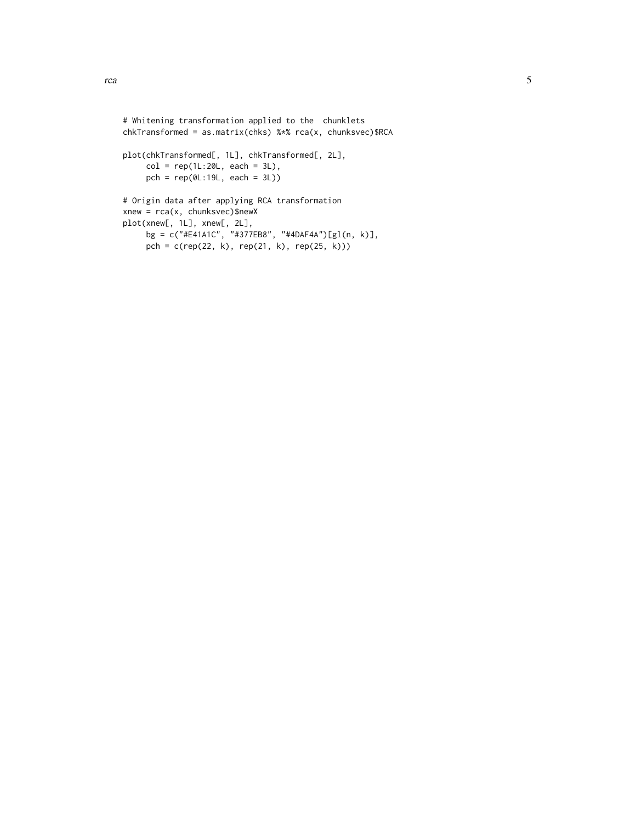```
# Whitening transformation applied to the chunklets
chkTransformed = as.matrix(chks) %*% rca(x, chunksvec)$RCA
plot(chkTransformed[, 1L], chkTransformed[, 2L],
    col = rep(1L:20L, each = 3L),pch = rep(0L:19L, each = 3L))
```

```
# Origin data after applying RCA transformation
xnew = rca(x, chunksvec)$newX
plot(xnew[, 1L], xnew[, 2L],
     bg = c("#E41A1C", "#377EB8", "#4DAF4A")[gl(n, k)],
    pch = c(rep(22, k), rep(21, k), rep(25, k)))
```